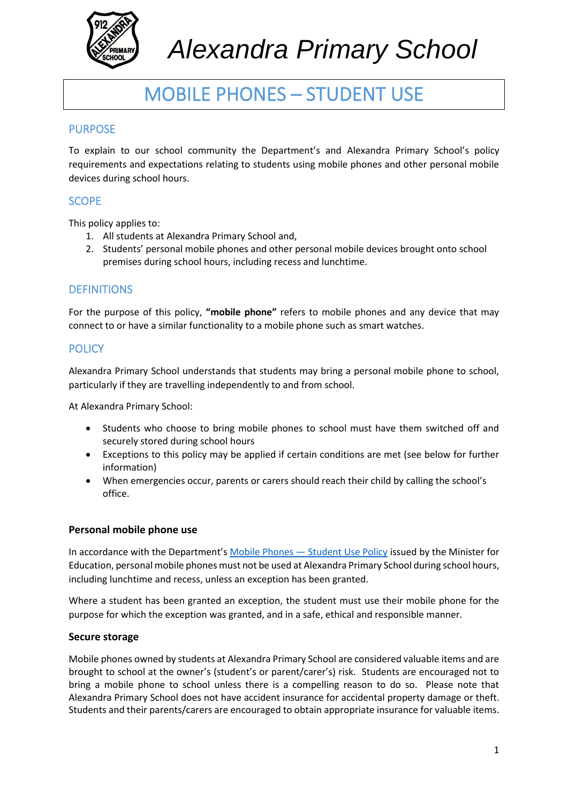

# *Alexandra Primary School*

## MOBILE PHONES – STUDENT USE

#### PURPOSE

To explain to our school community the Department's and Alexandra Primary School's policy requirements and expectations relating to students using mobile phones and other personal mobile devices during school hours.

### **SCOPE**

This policy applies to:

- 1. All students at Alexandra Primary School and,
- 2. Students' personal mobile phones and other personal mobile devices brought onto school premises during school hours, including recess and lunchtime.

#### **DEFINITIONS**

For the purpose of this policy, **"mobile phone"** refers to mobile phones and any device that may connect to or have a similar functionality to a mobile phone such as smart watches.

#### **POLICY**

Alexandra Primary School understands that students may bring a personal mobile phone to school, particularly if they are travelling independently to and from school.

At Alexandra Primary School:

- Students who choose to bring mobile phones to school must have them switched off and securely stored during school hours
- Exceptions to this policy may be applied if certain conditions are met (see below for further information)
- When emergencies occur, parents or carers should reach their child by calling the school's office.

#### **Personal mobile phone use**

In accordance with the Department's [Mobile Phones](https://www2.education.vic.gov.au/pal/students-using-mobile-phones/policy) - Student Use Policy issued by the Minister for Education, personal mobile phones must not be used at Alexandra Primary School during school hours, including lunchtime and recess, unless an exception has been granted.

Where a student has been granted an exception, the student must use their mobile phone for the purpose for which the exception was granted, and in a safe, ethical and responsible manner.

#### **Secure storage**

Mobile phones owned by students at Alexandra Primary School are considered valuable items and are brought to school at the owner's (student's or parent/carer's) risk. Students are encouraged not to bring a mobile phone to school unless there is a compelling reason to do so. Please note that Alexandra Primary School does not have accident insurance for accidental property damage or theft. Students and their parents/carers are encouraged to obtain appropriate insurance for valuable items.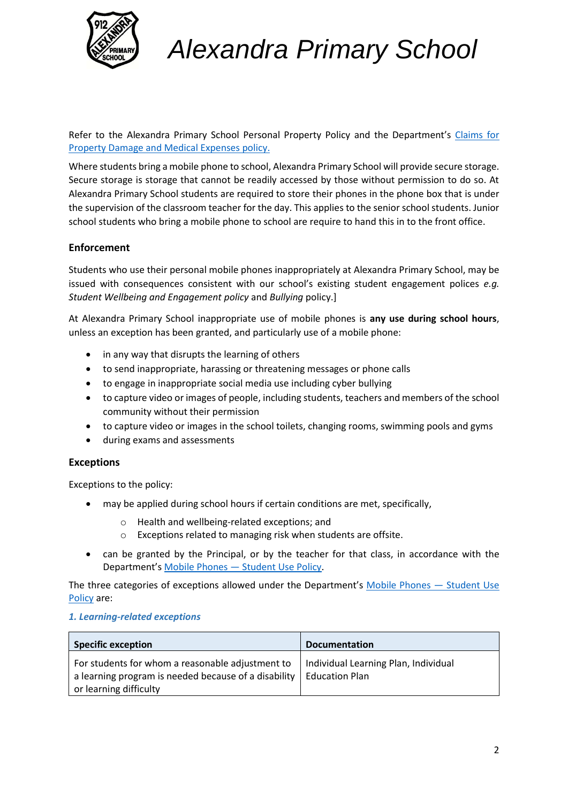

# *Alexandra Primary School*

Refer to the Alexandra Primary School Personal Property Policy and the Department's Claims for [Property Damage and Medical Expenses](https://www2.education.vic.gov.au/pal/claims-property-damage-and-medical-expenses/policy) policy.

Where students bring a mobile phone to school, Alexandra Primary School will provide secure storage. Secure storage is storage that cannot be readily accessed by those without permission to do so. At Alexandra Primary School students are required to store their phones in the phone box that is under the supervision of the classroom teacher for the day. This applies to the senior school students. Junior school students who bring a mobile phone to school are require to hand this in to the front office.

#### **Enforcement**

Students who use their personal mobile phones inappropriately at Alexandra Primary School, may be issued with consequences consistent with our school's existing student engagement polices *e.g. Student Wellbeing and Engagement policy* and *Bullying* policy.]

At Alexandra Primary School inappropriate use of mobile phones is **any use during school hours**, unless an exception has been granted, and particularly use of a mobile phone:

- in any way that disrupts the learning of others
- to send inappropriate, harassing or threatening messages or phone calls
- to engage in inappropriate social media use including cyber bullying
- to capture video or images of people, including students, teachers and members of the school community without their permission
- to capture video or images in the school toilets, changing rooms, swimming pools and gyms
- during exams and assessments

#### **Exceptions**

Exceptions to the policy:

- may be applied during school hours if certain conditions are met, specifically,
	- o Health and wellbeing-related exceptions; and
	- o Exceptions related to managing risk when students are offsite.
- can be granted by the Principal, or by the teacher for that class, in accordance with the Department's Mobile Phones — [Student Use Policy.](https://www2.education.vic.gov.au/pal/students-using-mobile-phones/policy)

The three categories of exceptions allowed under the Department's [Mobile Phones](https://www2.education.vic.gov.au/pal/students-using-mobile-phones/policy) — Student Use [Policy](https://www2.education.vic.gov.au/pal/students-using-mobile-phones/policy) are:

#### *1. Learning-related exceptions*

| <b>Specific exception</b>                                                                                                                           | <b>Documentation</b>                 |
|-----------------------------------------------------------------------------------------------------------------------------------------------------|--------------------------------------|
| For students for whom a reasonable adjustment to<br>a learning program is needed because of a disability   Education Plan<br>or learning difficulty | Individual Learning Plan, Individual |